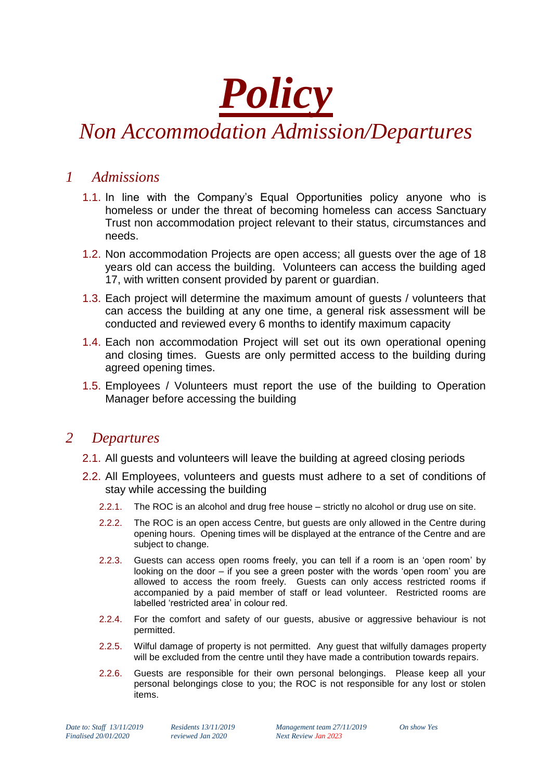

## *Non Accommodation Admission/Departures*

## *1 Admissions*

- 1.1. In line with the Company's Equal Opportunities policy anyone who is homeless or under the threat of becoming homeless can access Sanctuary Trust non accommodation project relevant to their status, circumstances and needs.
- 1.2. Non accommodation Projects are open access; all guests over the age of 18 years old can access the building. Volunteers can access the building aged 17, with written consent provided by parent or guardian.
- 1.3. Each project will determine the maximum amount of guests / volunteers that can access the building at any one time, a general risk assessment will be conducted and reviewed every 6 months to identify maximum capacity
- 1.4. Each non accommodation Project will set out its own operational opening and closing times. Guests are only permitted access to the building during agreed opening times.
- 1.5. Employees / Volunteers must report the use of the building to Operation Manager before accessing the building

## *2 Departures*

- 2.1. All guests and volunteers will leave the building at agreed closing periods
- 2.2. All Employees, volunteers and guests must adhere to a set of conditions of stay while accessing the building
	- 2.2.1. The ROC is an alcohol and drug free house strictly no alcohol or drug use on site.
	- 2.2.2. The ROC is an open access Centre, but guests are only allowed in the Centre during opening hours. Opening times will be displayed at the entrance of the Centre and are subject to change.
	- 2.2.3. Guests can access open rooms freely, you can tell if a room is an 'open room' by looking on the door – if you see a green poster with the words 'open room' you are allowed to access the room freely. Guests can only access restricted rooms if accompanied by a paid member of staff or lead volunteer. Restricted rooms are labelled 'restricted area' in colour red.
	- 2.2.4. For the comfort and safety of our guests, abusive or aggressive behaviour is not permitted.
	- 2.2.5. Wilful damage of property is not permitted. Any guest that wilfully damages property will be excluded from the centre until they have made a contribution towards repairs.
	- 2.2.6. Guests are responsible for their own personal belongings. Please keep all your personal belongings close to you; the ROC is not responsible for any lost or stolen items.

*Finalised 20/01/2020 reviewed Jan 2020 Next Review Jan 2023*

*Date to: Staff 13/11/2019 Residents 13/11/2019 Management team 27/11/2019 On show Yes*